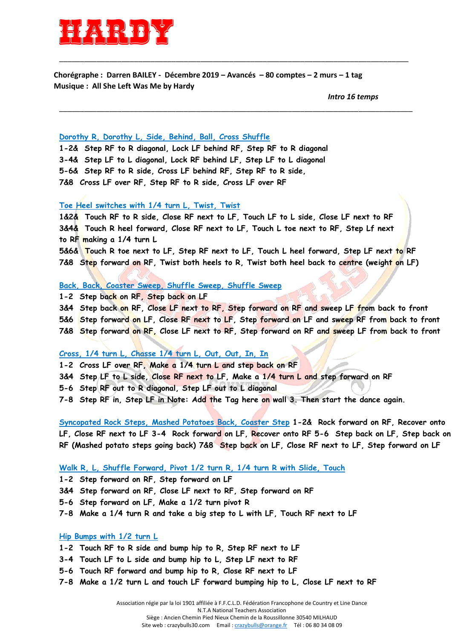

**Chorégraphe : Darren BAILEY - Décembre 2019 – Avancés – 80 comptes – 2 murs – 1 tag Musique : All She Left Was Me by Hardy**

\_\_\_\_\_\_\_\_\_\_\_\_\_\_\_\_\_\_\_\_\_\_\_\_\_\_\_\_\_\_\_\_\_\_\_\_\_\_\_\_\_\_\_\_\_\_\_\_\_\_\_\_\_\_\_\_\_\_\_\_\_\_\_\_\_\_\_\_\_\_\_\_\_\_\_\_\_\_\_\_\_\_\_\_

\_\_\_\_\_\_\_\_\_\_\_\_\_\_\_\_\_\_\_\_\_\_\_\_\_\_\_\_\_\_\_\_\_\_\_\_\_\_\_\_\_\_\_\_\_\_\_\_\_\_\_\_\_\_\_\_\_\_\_\_\_\_\_\_\_\_\_\_\_\_\_\_\_\_\_\_\_\_\_\_\_\_\_\_\_

*Intro 16 temps*

### **Dorothy R, Dorothy L, Side, Behind, Ball, Cross Shuffle**

**1-2& Step RF to R diagonal, Lock LF behind RF, Step RF to R diagonal 3-4& Step LF to L diagonal, Lock RF behind LF, Step LF to L diagonal 5-6& Step RF to R side, Cross LF behind RF, Step RF to R side, 7&8 Cross LF over RF, Step RF to R side, Cross LF over RF** 

#### **Toe Heel switches with 1/4 turn L, Twist, Twist**

**1&2& Touch RF to R side, Close RF next to LF, Touch LF to L side, Close LF next to RF 3&4& Touch R heel forward, Close RF next to LF, Touch L toe next to RF, Step Lf next to RF making a 1/4 turn L** 

**5&6& Touch R toe next to LF, Step RF next to LF, Touch L heel forward, Step LF next to RF 7&8 Step forward on RF, Twist both heels to R, Twist both heel back to centre (weight on LF)** 

#### **Back, Back, Coaster Sweep, Shuffle Sweep, Shuffle Sweep**

**1-2 Step back on RF, Step back on LF** 

**3&4 Step back on RF, Close LF next to RF, Step forward on RF and sweep LF from back to front** 

**5&6 Step forward on LF, Close RF next to LF, Step forward on LF and sweep RF from back to front** 

**7&8 Step forward on RF, Close LF next to RF, Step forward on RF and sweep LF from back to front** 

# **Cross, 1/4 turn L, Chasse 1/4 turn L, Out, Out, In, In**

**1-2 Cross LF over RF, Make a 1/4 turn L and step back on RF** 

**3&4 Step LF to L side, Close RF next to LF, Make a 1/4 turn L and step forward on RF** 

**5-6 Step RF out to R diagonal, Step LF out to L diagonal** 

**7-8 Step RF in, Step LF in Note: Add the Tag here on wall 3. Then start the dance again.** 

**Syncopated Rock Steps, Mashed Potatoes Back, Coaster Step 1-2& Rock forward on RF, Recover onto LF, Close RF next to LF 3-4 Rock forward on LF, Recover onto RF 5-6 Step back on LF, Step back on RF (Mashed potato steps going back) 7&8 Step back on LF, Close RF next to LF, Step forward on LF** 

# **Walk R, L, Shuffle Forward, Pivot 1/2 turn R, 1/4 turn R with Slide, Touch**

**1-2 Step forward on RF, Step forward on LF** 

**3&4 Step forward on RF, Close LF next to RF, Step forward on RF** 

- **5-6 Step forward on LF, Make a 1/2 turn pivot R**
- **7-8 Make a 1/4 turn R and take a big step to L with LF, Touch RF next to LF**

### **Hip Bumps with 1/2 turn L**

**1-2 Touch RF to R side and bump hip to R, Step RF next to LF** 

**3-4 Touch LF to L side and bump hip to L, Step LF next to RF** 

- **5-6 Touch RF forward and bump hip to R, Close RF next to LF**
- **7-8 Make a 1/2 turn L and touch LF forward bumping hip to L, Close LF next to RF**